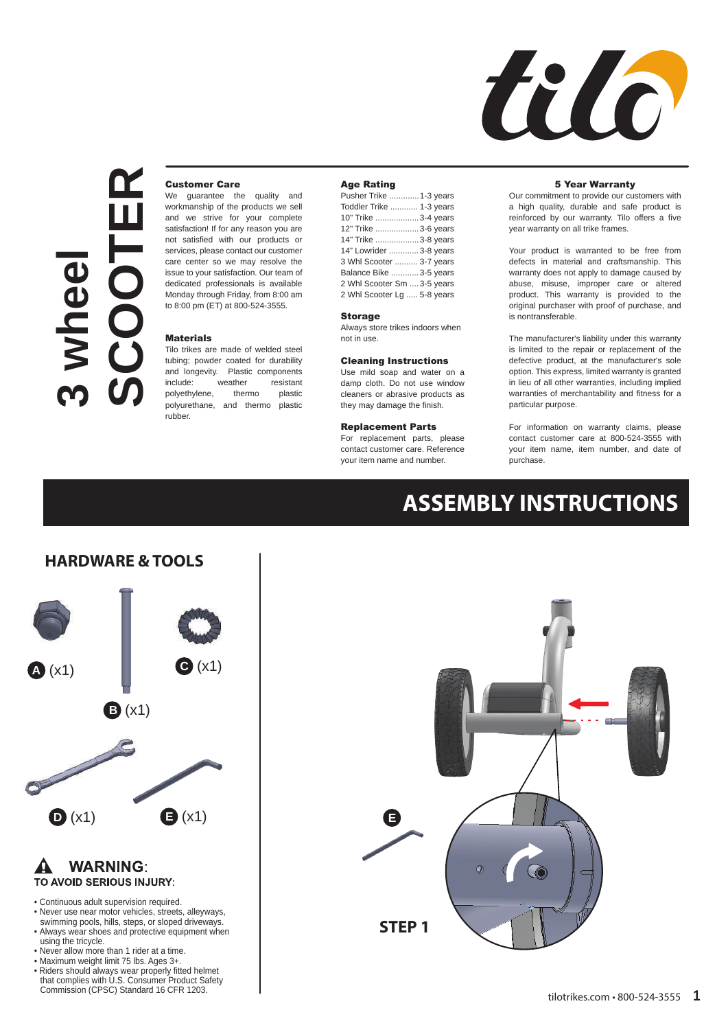

# **3 wheel SCOOTER**

# Customer Care

We guarantee the quality and workmanship of the products we sell and we strive for your complete satisfaction! If for any reason you are not satisfied with our products or services, please contact our customer care center so we may resolve the issue to your satisfaction. Our team of dedicated professionals is available Monday through Friday, from 8:00 am to 8:00 pm (ET) at 800-524-3555.

#### **Materials**

Tilo trikes are made of welded steel tubing; powder coated for durability and longevity. Plastic components include: weather resistant polyethylene, thermo plastic polyurethane, and thermo plastic rubber.

### Age Rating

| Pusher Trike 1-3 years      |
|-----------------------------|
| Toddler Trike  1-3 years    |
| 10" Trike 3-4 years         |
| 12" Trike 3-6 years         |
| 14" Trike 3-8 years         |
| 14" Lowrider  3-8 years     |
| 3 Whl Scooter  3-7 years    |
| Balance Bike  3-5 years     |
| 2 Whl Scooter Sm  3-5 years |
| 2 Whl Scooter Lg  5-8 years |

#### Storage

Always store trikes indoors when not in use.

#### Cleaning Instructions

Use mild soap and water on a damp cloth. Do not use window cleaners or abrasive products as they may damage the finish.

## Replacement Parts

For replacement parts, please contact customer care. Reference your item name and number.

#### 5 Year Warranty

Our commitment to provide our customers with a high quality, durable and safe product is reinforced by our warranty. Tilo offers a five year warranty on all trike frames.

Your product is warranted to be free from defects in material and craftsmanship. This warranty does not apply to damage caused by abuse, misuse, improper care or altered product. This warranty is provided to the original purchaser with proof of purchase, and is nontransferable.

The manufacturer's liability under this warranty is limited to the repair or replacement of the defective product, at the manufacturer's sole option. This express, limited warranty is granted in lieu of all other warranties, including implied warranties of merchantability and fitness for a particular purpose.

For information on warranty claims, please contact customer care at 800-524-3555 with your item name, item number, and date of purchase.

# **ASSEMBLY INSTRUCTIONS**

# **HARDWARE & TOOLS**



#### **WARNING:**  $\mathbf{A}$ TO AVOID SERIOUS INJURY:

- Continuous adult supervision required.
- Never use near motor vehicles, streets, alleyways,
- swimming pools, hills, steps, or sloped driveways. Always wear shoes and protective equipment when using the tricycle.
- Never allow more than 1 rider at a time.
- Maximum weight limit 75 lbs. Ages 3+.
- Riders should always wear properly fitted helmet that complies with U.S. Consumer Product Safety Commission (CPSC) Standard 16 CFR 1203.